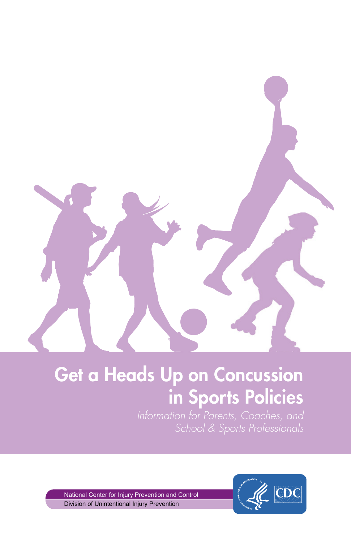## Get a Heads Up on Concussion in Sports Policies

Division of Unintentional Injury Prevention National Center for Injury Prevention and Control

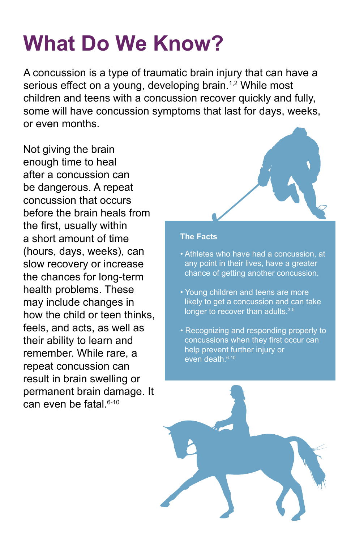# **What Do We Know?**

A concussion is a type of traumatic brain injury that can have a serious effect on a young, developing brain.<sup>1,2</sup> While most children and teens with a concussion recover quickly and fully, some will have concussion symptoms that last for days, weeks, or even months.

Not giving the brain enough time to heal after a concussion can be dangerous. A repeat concussion that occurs before the brain heals from the first, usually within a short amount of time (hours, days, weeks), can slow recovery or increase the chances for long-term health problems. These may include changes in how the child or teen thinks, feels, and acts, as well as their ability to learn and remember. While rare, a repeat concussion can result in brain swelling or permanent brain damage. It can even be fatal.<sup>6-10</sup>



#### **The Facts**

- Athletes who have had a concussion, at any point in their lives, have a greater chance of getting another concussion.
- Young children and teens are more likely to get a concussion and can take longer to recover than adults.<sup>3-5</sup>
- Recognizing and responding properly to concussions when they first occur can help prevent further injury or even death.<sup>6-10</sup>

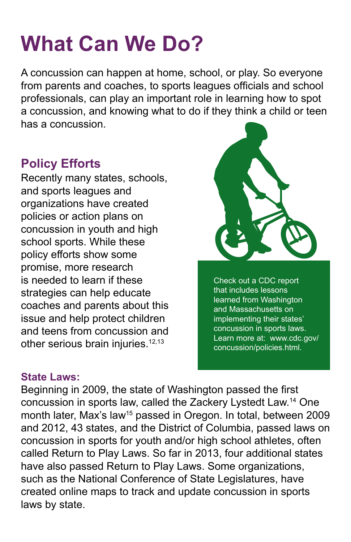## **What Can We Do?**

A concussion can happen at home, school, or play. So everyone from parents and coaches, to sports leagues officials and school professionals, can play an important role in learning how to spot a concussion, and knowing what to do if they think a child or teen has a concussion.

### **Policy Efforts**

Recently many states, schools, and sports leagues and organizations have created policies or action plans on concussion in youth and high school sports. While these policy efforts show some promise, more research is needed to learn if these strategies can help educate coaches and parents about this issue and help protect children and teens from concussion and other serious brain injuries.<sup>12,13</sup>



Check out a CDC report that includes lessons learned from Washington and Massachusetts on implementing their states' concussion in sports laws. Learn more at: www.cdc.gov/ concussion/policies.html.

#### **State Laws:**

Beginning in 2009, the state of Washington passed the first concussion in sports law, called the Zackery Lystedt Law.14 One month later, Max's law<sup>15</sup> passed in Oregon. In total, between 2009 and 2012, 43 states, and the District of Columbia, passed laws on concussion in sports for youth and/or high school athletes, often called Return to Play Laws. So far in 2013, four additional states have also passed Return to Play Laws. Some organizations, such as the National Conference of State Legislatures, have created online maps to track and update concussion in sports laws by state.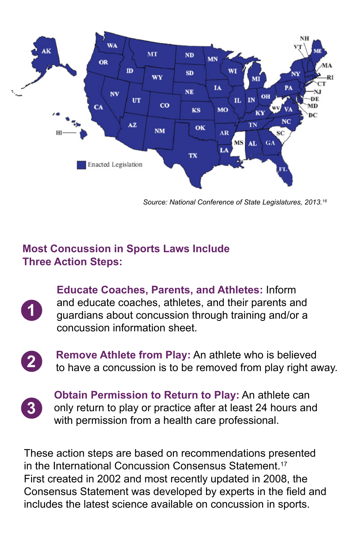

*Source: National Conference of State Legislatures, 2013.16*

#### **Most Concussion in Sports Laws Include Three Action Steps:**

 **Educate Coaches, Parents, and Athletes:** Inform and educate coaches, athletes, and their parents and guardians about concussion through training and/or a concussion information sheet.



**2 Remove Athlete from Play:** An athlete who is believed to have a concussion is to be removed from play right away.



**Obtain Permission to Return to Play:** An athlete can **3** only return to play or practice after at least 24 hours and with permission from a health care professional.

These action steps are based on recommendations presented in the International Concussion Consensus Statement.<sup>17</sup> First created in 2002 and most recently updated in 2008, the Consensus Statement was developed by experts in the field and includes the latest science available on concussion in sports.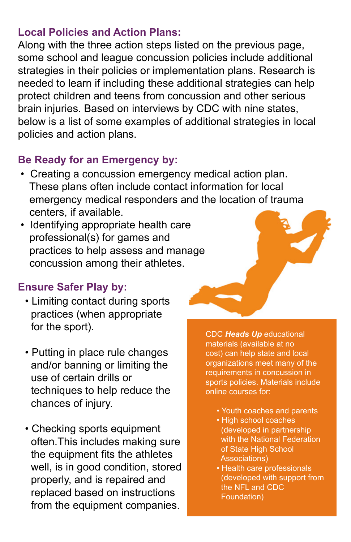#### **Local Policies and Action Plans:**

Along with the three action steps listed on the previous page, some school and league concussion policies include additional strategies in their policies or implementation plans. Research is needed to learn if including these additional strategies can help protect children and teens from concussion and other serious brain injuries. Based on interviews by CDC with nine states, below is a list of some examples of additional strategies in local policies and action plans.

#### **Be Ready for an Emergency by:**

- Creating a concussion emergency medical action plan. These plans often include contact information for local emergency medical responders and the location of trauma centers, if available.
- Identifying appropriate health care practices to help assess and manage concussion among their athletes. professional(s) for games and

#### **Ensure Safer Play by:**

- Limiting contact during sports practices (when appropriate for the sport).
- Putting in place rule changes and/or banning or limiting the use of certain drills or techniques to help reduce the chances of injury.
- Checking sports equipment often.This includes making sure the equipment fits the athletes well, is in good condition, stored properly, and is repaired and replaced based on instructions from the equipment companies.

CDC *Heads Up* educational materials (available at no cost) can help state and local organizations meet many of the requirements in concussion in sports policies. Materials include online courses for:

- Youth coaches and parents
- High school coaches (developed in partnership with the National Federation of State High School Associations)
- Health care professionals (developed with support from the NFL and CDC Foundation)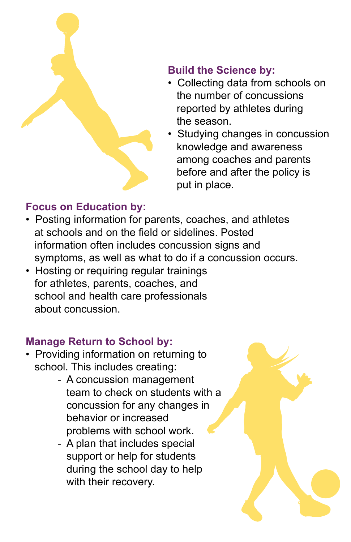

### **Build the Science by:**

- Collecting data from schools on the number of concussions reported by athletes during the season.
- Studying changes in concussion knowledge and awareness among coaches and parents before and after the policy is put in place.

#### **Focus on Education by:**

- Posting information for parents, coaches, and athletes at schools and on the field or sidelines. Posted information often includes concussion signs and symptoms, as well as what to do if a concussion occurs.
- Hosting or requiring regular trainings for athletes, parents, coaches, and school and health care professionals about concussion.

### **Manage Return to School by:**

- Providing information on returning to school. This includes creating:
- A concussion management team to check on students with a concussion for any changes in behavior or increased problems with school work.
	- A plan that includes special support or help for students during the school day to help with their recovery.

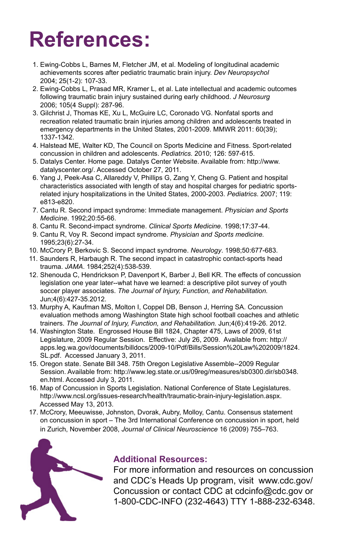## **References:**

- 1. Ewing-Cobbs L, Barnes M, Fletcher JM, et al. Modeling of longitudinal academic achievements scores after pediatric traumatic brain injury. *Dev Neuropsychol*  2004; 25(1-2): 107-33.
- 2. Ewing-Cobbs L, Prasad MR, Kramer L, et al. Late intellectual and academic outcomes following traumatic brain injury sustained during early childhood. *J Neurosurg*  2006; 105(4 Suppl): 287-96.
- 3. Gilchrist J, Thomas KE, Xu L, McGuire LC, Coronado VG. Nonfatal sports and recreation related traumatic brain injuries among children and adolescents treated in emergency departments in the United States, 2001-2009. MMWR 2011: 60(39); 1337-1342.
- 4. Halstead ME, Walter KD, The Council on Sports Medicine and Fitness. Sport-related concussion in children and adolescents. *Pediatrics.* 2010; 126: 597-615.
- 5. Datalys Center. Home page. Datalys Center Website. Available from: http://www. datalyscenter.org/. Accessed October 27, 2011.
- 6. Yang J, Peek-Asa C, Allareddy V, Phillips G, Zang Y, Cheng G. Patient and hospital characteristics associated with length of stay and hospital charges for pediatric sports related injury hospitalizations in the United States, 2000-2003. *Pediatrics*. 2007; 119: e813-e820.
- 7. Cantu R. Second impact syndrome: Immediate management. *Physician and Sports Medicine*. 1992;20:55-66.
- 8. Cantu R. Second-impact syndrome. *Clinical Sports Medicine*. 1998;17:37-44.
- 9. Cantu R, Voy R. Second impact syndrome. *Physician and Sports medicine.*  1995;23(6):27-34.
- 10. McCrory P, Berkovic S. Second impact syndrome. *Neurology*. 1998;50:677-683.
- 11. Saunders R, Harbaugh R. The second impact in catastrophic contact-sports head trauma. *JAMA*. 1984;252(4):538-539.
- 12. Shenouda C, Hendrickson P, Davenport K, Barber J, Bell KR. The effects of concussion legislation one year later--what have we learned: a descriptive pilot survey of youth soccer player associates. *The Journal of Injury, Function, and Rehabilitation.*  Jun;4(6):427-35.2012.
- 13. Murphy A, Kaufman MS, Molton I, Coppel DB, Benson J, Herring SA. Concussion evaluation methods among Washington State high school football coaches and athletic trainers. *The Journal of Injury, Function, and Rehabilitation.* Jun;4(6):419-26. 2012.
- 14. Washington State. Engrossed House Bill 1824, Chapter 475, Laws of 2009, 61st Legislature, 2009 Regular Session. Effective: July 26, 2009. Available from: http:// apps.leg.wa.gov/documents/billdocs/2009-10/Pdf/Bills/Session%20Law%202009/1824. SL.pdf. Accessed January 3, 2011.
- 15. Oregon state. Senate Bill 348. 75th Oregon Legislative Assemble--2009 Regular Session. Available from: http://www.leg.state.or.us/09reg/measures/sb0300.dir/sb0348. en.html. Accessed July 3, 2011.
- 16. Map of Concussion in Sports Legislation. National Conference of State Legislatures. http://www.ncsl.org/issues-research/health/traumatic-brain-injury-legislation.aspx. Accessed May 13, 2013.
- 17. McCrory, Meeuwisse, Johnston, Dvorak, Aubry, Molloy, Cantu. Consensus statement on concussion in sport – The 3rd International Conference on concussion in sport, held in Zurich, November 2008, *Journal of Clinical Neuroscience* 16 (2009) 755–763.



#### **Additional Resources:**

For more information and resources on concussion and CDC's Heads Up program, visit www.cdc.gov/ Concussion or contact CDC at cdcinfo@cdc.gov or 1-800-CDC-INFO (232-4643) TTY 1-888-232-6348.